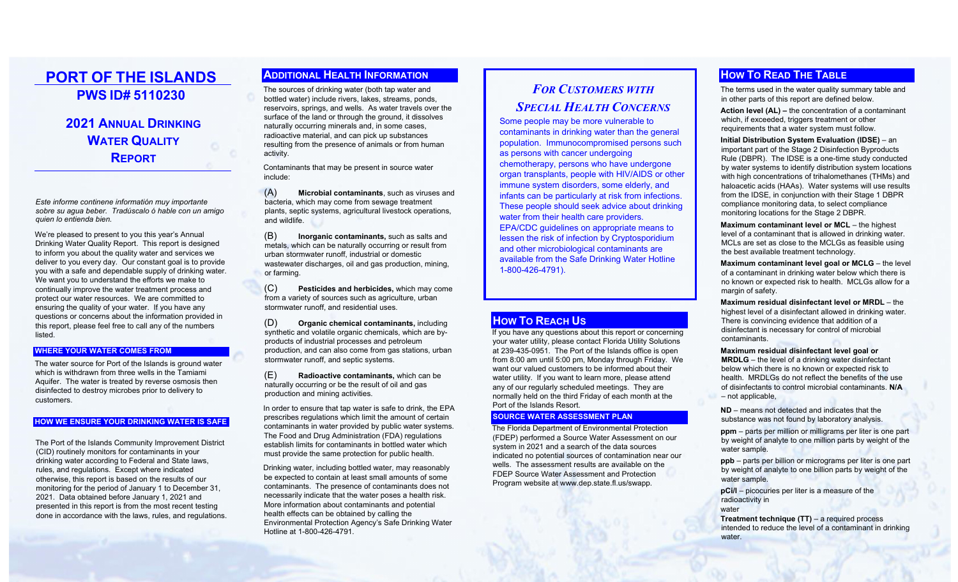# **PORT OF THE ISLANDS PWS ID# 5110230**

## **2021ANNUAL DRINKING WATER QUALITY REPORT**

*Este informe continene informatión muy importante sobre su agua beber. Tradúscalo ó hable con un amigo quien lo entienda bien.*

We're pleased to present to you this year's Annual Drinking Water Quality Report. This report is designed to inform you about the quality water and services we deliver to you every day. Our constant goal is to provide you with a safe and dependable supply of drinking water. We want you to understand the efforts we make to continually improve the water treatment process and protect our water resources. We are committed to ensuring the quality of your water. If you have any questions or concerns about the information provided in this report, please feel free to call any of the numbers listed.

#### **WHERE YOUR WATER COMES FROM**

The water source for Port of the Islands is ground water which is withdrawn from three wells in the Tamiami Aquifer. The water is treated by reverse osmosis then disinfected to destroy microbes prior to delivery to customers.

### **HOW WE ENSURE YOUR DRINKING WATER IS SAFE**

The Port of the Islands Community Improvement District (CID) routinely monitors for contaminants in your drinking water according to Federal and State laws, rules, and regulations. Except where indicated otherwise, this report is based on the results of our monitoring for the period of January 1 to December 31, 2021. Data obtained before January 1, 2021 and presented in this report is from the most recent testing done in accordance with the laws, rules, and regulations.

### **ADDITIONAL HEALTH INFORMATION**

The sources of drinking water (both tap water and bottled water) include rivers, lakes, streams, ponds, reservoirs, springs, and wells. As water travels over the surface of the land or through the ground, it dissolves naturally occurring minerals and, in some cases, radioactive material, and can pick up substances resulting from the presence of animals or from human activity.

Contaminants that may be present in source water include:

(A) **Microbial contaminants**, such as viruses and bacteria, which may come from sewage treatment plants, septic systems, agricultural livestock operations, and wildlife.

(B) **Inorganic contaminants,** such as salts and metals, which can be naturally occurring or result from urban stormwater runoff, industrial or domestic wastewater discharges, oil and gas production, mining, or farming.

(C) **Pesticides and herbicides,** which may come from a variety of sources such as agriculture, urban stormwater runoff, and residential uses.

(D) **Organic chemical contaminants,** including synthetic and volatile organic chemicals, which are byproducts of industrial processes and petroleum production, and can also come from gas stations, urban stormwater runoff, and septic systems.

(E) **Radioactive contaminants,** which can be naturally occurring or be the result of oil and gas production and mining activities.

In order to ensure that tap water is safe to drink, the EPA prescribes regulations which limit the amount of certain contaminants in water provided by public water systems. The Food and Drug Administration (FDA) regulations establish limits for contaminants in bottled water which must provide the same protection for public health.

Drinking water, including bottled water, may reasonably be expected to contain at least small amounts of some contaminants. The presence of contaminants does not necessarily indicate that the water poses a health risk. More information about contaminants and potential health effects can be obtained by calling the Environmental Protection Agency's Safe Drinking Water Hotline at 1-800-426-4791.

# *FOR CUSTOMERS WITH SPECIAL HEALTH CONCERNS*

Some people may be more vulnerable to contaminants in drinking water than the general population. Immunocompromised persons such as persons with cancer undergoing chemotherapy, persons who have undergone organ transplants, people with HIV/AIDS or other immune system disorders, some elderly, and infants can be particularly at risk from infections. These people should seek advice about drinking water from their health care providers. EPA/CDC guidelines on appropriate means to lessen the risk of infection by Cryptosporidium and other microbiological contaminants are available from the Safe Drinking Water Hotline 1-800-426-4791).

## **HOW TO REACH US**

If you have any questions about this report or concerning your water utility, please contact Florida Utility Solutions at 239-435-0951. The Port of the Islands office is open from 8:00 am until 5:00 pm, Monday through Friday. We want our valued customers to be informed about their water utility. If you want to learn more, please attend any of our regularly scheduled meetings. They are normally held on the third Friday of each month at the Port of the Islands Resort.

### **SOURCE WATER ASSESSMENT PLAN**

The Florida Department of Environmental Protection (FDEP) performed a Source Water Assessment on our system in 2021 and a search of the data sources indicated no potential sources of contamination near our wells. The assessment results are available on the FDEP Source Water Assessment and Protection Program website at www.dep.state.fl.us/swapp.

## **HOW TO READ THE TABLE**

The terms used in the water quality summary table and in other parts of this report are defined below.

**Action level (AL) –** the concentration of a contaminant which, if exceeded, triggers treatment or other requirements that a water system must follow.

**Initial Distribution System Evaluation (IDSE)** – an important part of the Stage 2 Disinfection Byproducts Rule (DBPR). The IDSE is a one-time study conducted by water systems to identify distribution system locations with high concentrations of trihalomethanes (THMs) and haloacetic acids (HAAs). Water systems will use results from the IDSE, in conjunction with their Stage 1 DBPR compliance monitoring data, to select compliance monitoring locations for the Stage 2 DBPR.

**Maximum contaminant level or MCL** – the highest level of a contaminant that is allowed in drinking water. MCLs are set as close to the MCLGs as feasible using the best available treatment technology.

**Maximum contaminant level goal or MCLG** – the level of a contaminant in drinking water below which there is no known or expected risk to health. MCLGs allow for a margin of safety.

**Maximum residual disinfectant level or MRDL** – the highest level of a disinfectant allowed in drinking water. There is convincing evidence that addition of a disinfectant is necessary for control of microbial contaminants.

**Maximum residual disinfectant level goal or MRDLG** – the level of a drinking water disinfectant below which there is no known or expected risk to health. MRDLGs do not reflect the benefits of the use of disinfectants to control microbial contaminants. **N/A** $-$  not applicable

**ND** – means not detected and indicates that the substance was not found by laboratory analysis.

**ppm** – parts per million or milligrams per liter is one part by weight of analyte to one million parts by weight of the water sample.

**ppb** – parts per billion or micrograms per liter is one part by weight of analyte to one billion parts by weight of the water sample.

**pCi/l** – picocuries per liter is a measure of the radioactivity in water

**Treatment technique (TT)** – a required process intended to reduce the level of a contaminant in drinking water